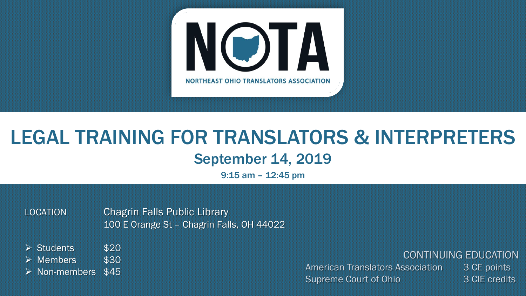

## LEGAL TRAINING FOR TRANSLATORS & INTERPRETERS September 14, 2019

9:15 am – 12:45 pm

LOCATION Chagrin Falls Public Library 100 E Orange St – Chagrin Falls, OH 44022

 $\triangleright$  Students \$20

 $\triangleright$  Members \$30

 $\triangleright$  Non-members \$45

CONTINUING EDUCATION

American Translators Association 3 CE points Supreme Court of Ohio 3 CIE credits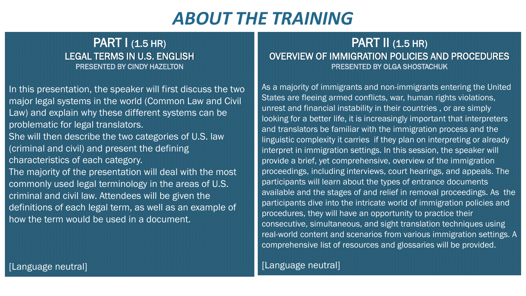## *ABOUT THE TRAINING*

#### **PART | (1.5 HR)** LEGAL TERMS IN U.S. ENGLISH PRESENTED BY CINDY HAZELTON

In this presentation, the speaker will first discuss the two major legal systems in the world (Common Law and Civil Law) and explain why these different systems can be problematic for legal translators. She will then describe the two categories of U.S. law (criminal and civil) and present the defining characteristics of each category. The majority of the presentation will deal with the most commonly used legal terminology in the areas of U.S. criminal and civil law. Attendees will be given the definitions of each legal term, as well as an example of how the term would be used in a document.

#### PART  $I$  (1.5 HR) OVERVIEW OF IMMIGRATION POLICIES AND PROCEDURES PRESENTED BY OLGA SHOSTACHUK

As a majority of immigrants and non-immigrants entering the United States are fleeing armed conflicts, war, human rights violations, unrest and financial instability in their countries , or are simply looking for a better life, it is increasingly important that interpreters and translators be familiar with the immigration process and the linguistic complexity it carries if they plan on interpreting or already interpret in immigration settings. In this session, the speaker will provide a brief, yet comprehensive, overview of the immigration proceedings, including interviews, court hearings, and appeals. The participants will learn about the types of entrance documents available and the stages of and relief in removal proceedings. As the participants dive into the intricate world of immigration policies and procedures, they will have an opportunity to practice their consecutive, simultaneous, and sight translation techniques using real-world content and scenarios from various immigration settings. A comprehensive list of resources and glossaries will be provided.

#### [Language neutral]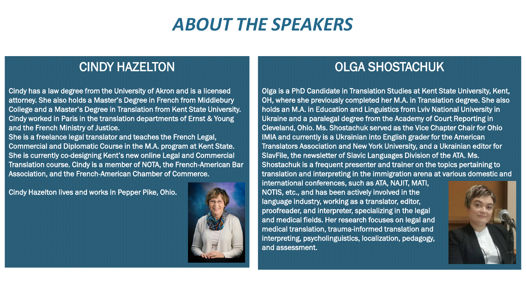### *ABOUT THE SPEAKERS*

### CINDY HAZELTON

Cindy has a law degree from the University of Akron and is a licensed attorney. She also holds a Master's Degree in French from Middlebury College and a Master's Degree in Translation from Kent State University. Cindy worked in Paris in the translation departments of Ernst & Young and the French Ministry of Justice.

She is a freelance legal translator and teaches the French Legal, Commercial and Diplomatic Course in the M.A. program at Kent State. She is currently co-designing Kent's new online Legal and Commercial Translation course. Cindy is a member of NOTA, the French-American Bar Association, and the French-American Chamber of Commerce.

Cindy Hazelton lives and works in Pepper Pike, Ohio.



### OLGA SHOSTACHUK

Olga is a PhD Candidate in Translation Studies at Kent State University, Kent, OH, where she previously completed her M.A. in Translation degree. She also holds an M.A. in Education and Linguistics from Lviv National University in Ukraine and a paralegal degree from the Academy of Court Reporting in Cleveland, Ohio. Ms. Shostachuk served as the Vice Chapter Chair for Ohio IMIA and currently is a Ukrainian into English grader for the American Translators Association and New York University, and a Ukrainian editor for SlavFile, the newsletter of Slavic Languages Division of the ATA. Ms. Shostachuk is a frequent presenter and trainer on the topics pertaining to translation and interpreting in the immigration arena at various domestic and

international conferences, such as ATA, NAJIT, MATI, NOTIS, etc., and has been actively involved in the language industry, working as a translator, editor, proofreader, and interpreter, specializing in the legal and medical fields. Her research focuses on legal and medical translation, trauma-informed translation and interpreting, psycholinguistics, localization, pedagogy, and assessment.